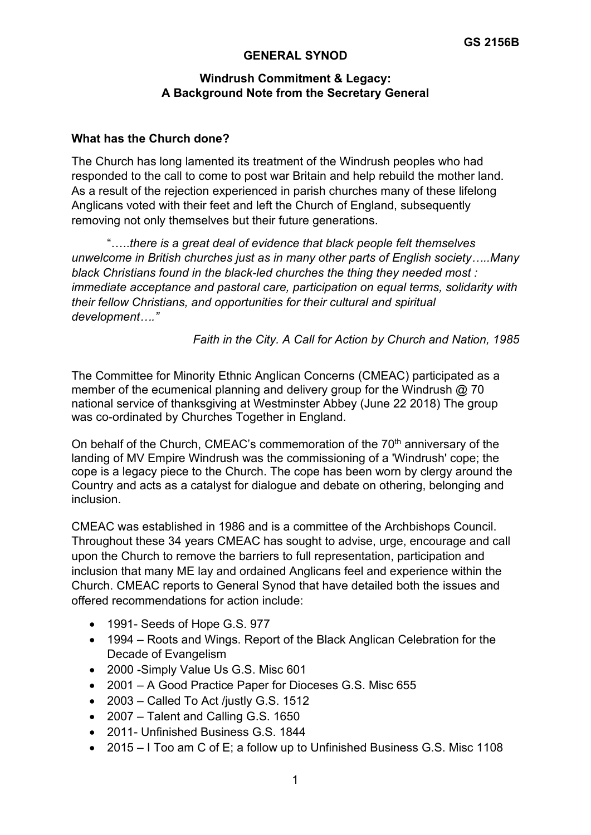## **GENERAL SYNOD**

## **Windrush Commitment & Legacy: A Background Note from the Secretary General**

## **What has the Church done?**

The Church has long lamented its treatment of the Windrush peoples who had responded to the call to come to post war Britain and help rebuild the mother land. As a result of the rejection experienced in parish churches many of these lifelong Anglicans voted with their feet and left the Church of England, subsequently removing not only themselves but their future generations.

"…..*there is a great deal of evidence that black people felt themselves unwelcome in British churches just as in many other parts of English society…..Many black Christians found in the black-led churches the thing they needed most : immediate acceptance and pastoral care, participation on equal terms, solidarity with their fellow Christians, and opportunities for their cultural and spiritual development…."*

*Faith in the City. A Call for Action by Church and Nation, 1985*

The Committee for Minority Ethnic Anglican Concerns (CMEAC) participated as a member of the ecumenical planning and delivery group for the Windrush @ 70 national service of thanksgiving at Westminster Abbey (June 22 2018) The group was co-ordinated by Churches Together in England.

On behalf of the Church, CMEAC's commemoration of the 70<sup>th</sup> anniversary of the landing of MV Empire Windrush was the commissioning of a 'Windrush' cope; the cope is a legacy piece to the Church. The cope has been worn by clergy around the Country and acts as a catalyst for dialogue and debate on othering, belonging and inclusion.

CMEAC was established in 1986 and is a committee of the Archbishops Council. Throughout these 34 years CMEAC has sought to advise, urge, encourage and call upon the Church to remove the barriers to full representation, participation and inclusion that many ME lay and ordained Anglicans feel and experience within the Church. CMEAC reports to General Synod that have detailed both the issues and offered recommendations for action include:

- 1991- Seeds of Hope G.S. 977
- 1994 Roots and Wings. Report of the Black Anglican Celebration for the Decade of Evangelism
- 2000 -Simply Value Us G.S. Misc 601
- 2001 A Good Practice Paper for Dioceses G.S. Misc 655
- 2003 Called To Act /justly G.S. 1512
- 2007 Talent and Calling G.S. 1650
- 2011- Unfinished Business G.S. 1844
- 2015 I Too am C of E: a follow up to Unfinished Business G.S. Misc 1108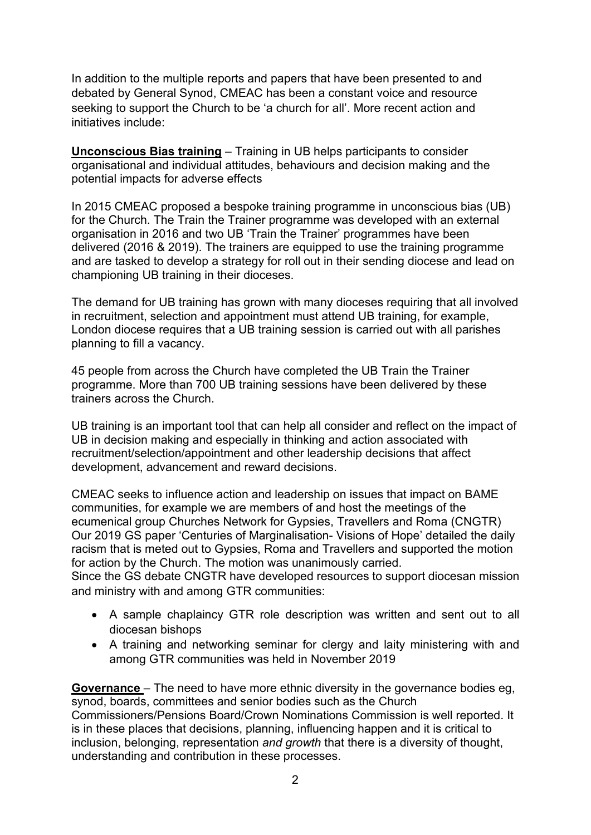In addition to the multiple reports and papers that have been presented to and debated by General Synod, CMEAC has been a constant voice and resource seeking to support the Church to be 'a church for all'. More recent action and initiatives include:

**Unconscious Bias training** – Training in UB helps participants to consider organisational and individual attitudes, behaviours and decision making and the potential impacts for adverse effects

In 2015 CMEAC proposed a bespoke training programme in unconscious bias (UB) for the Church. The Train the Trainer programme was developed with an external organisation in 2016 and two UB 'Train the Trainer' programmes have been delivered (2016 & 2019). The trainers are equipped to use the training programme and are tasked to develop a strategy for roll out in their sending diocese and lead on championing UB training in their dioceses.

The demand for UB training has grown with many dioceses requiring that all involved in recruitment, selection and appointment must attend UB training, for example, London diocese requires that a UB training session is carried out with all parishes planning to fill a vacancy.

45 people from across the Church have completed the UB Train the Trainer programme. More than 700 UB training sessions have been delivered by these trainers across the Church.

UB training is an important tool that can help all consider and reflect on the impact of UB in decision making and especially in thinking and action associated with recruitment/selection/appointment and other leadership decisions that affect development, advancement and reward decisions.

CMEAC seeks to influence action and leadership on issues that impact on BAME communities, for example we are members of and host the meetings of the ecumenical group Churches Network for Gypsies, Travellers and Roma (CNGTR) Our 2019 GS paper 'Centuries of Marginalisation- Visions of Hope' detailed the daily racism that is meted out to Gypsies, Roma and Travellers and supported the motion for action by the Church. The motion was unanimously carried.

Since the GS debate CNGTR have developed resources to support diocesan mission and ministry with and among GTR communities:

- A sample chaplaincy GTR role description was written and sent out to all diocesan bishops
- A training and networking seminar for clergy and laity ministering with and among GTR communities was held in November 2019

**Governance** – The need to have more ethnic diversity in the governance bodies eg, synod, boards, committees and senior bodies such as the Church Commissioners/Pensions Board/Crown Nominations Commission is well reported. It is in these places that decisions, planning, influencing happen and it is critical to inclusion, belonging, representation *and growth* that there is a diversity of thought, understanding and contribution in these processes.